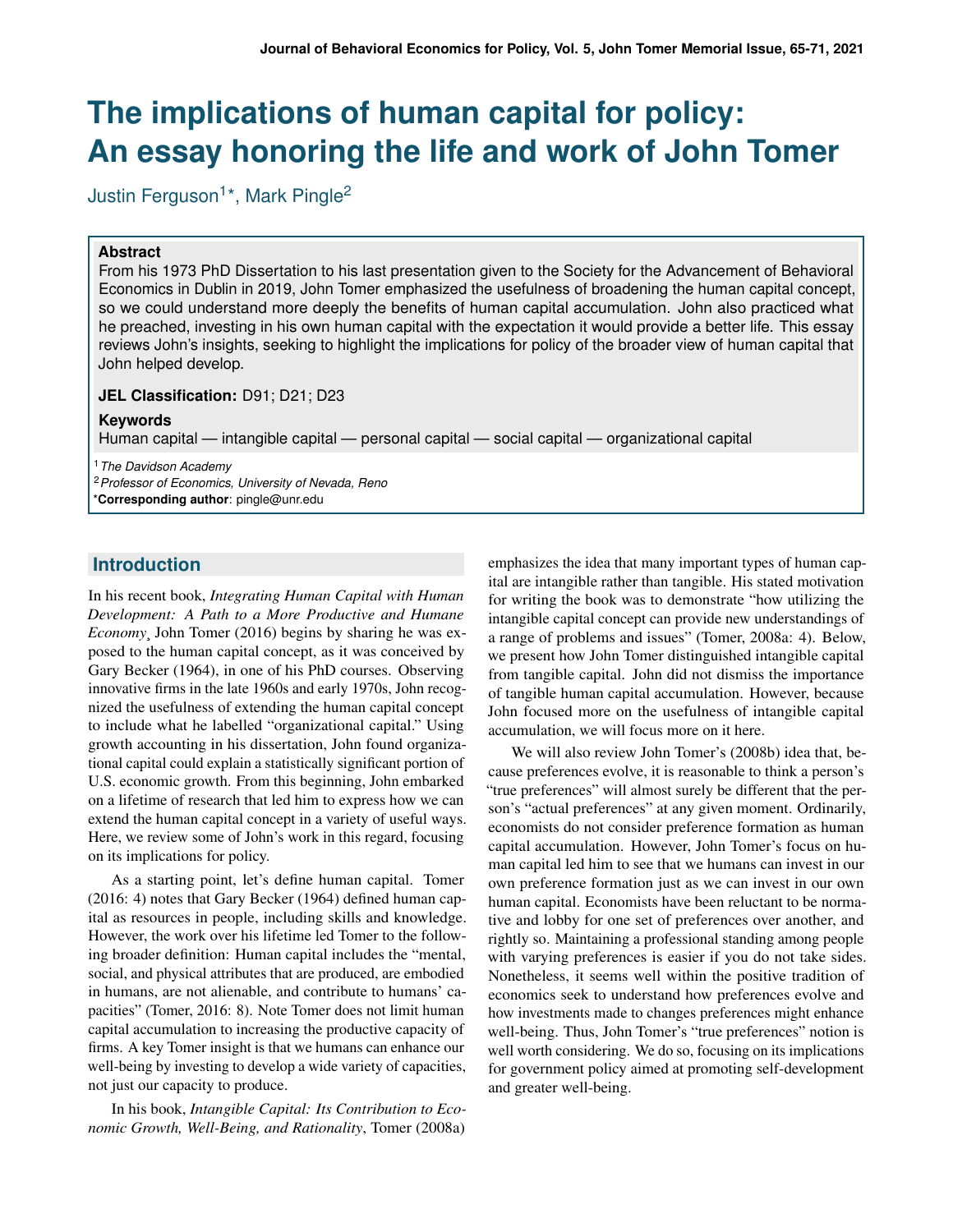# **The implications of human capital for policy: An essay honoring the life and work of John Tomer**

Justin Ferguson<sup>1\*</sup>, Mark Pingle<sup>2</sup>

#### **Abstract**

From his 1973 PhD Dissertation to his last presentation given to the Society for the Advancement of Behavioral Economics in Dublin in 2019, John Tomer emphasized the usefulness of broadening the human capital concept, so we could understand more deeply the benefits of human capital accumulation. John also practiced what he preached, investing in his own human capital with the expectation it would provide a better life. This essay reviews John's insights, seeking to highlight the implications for policy of the broader view of human capital that John helped develop.

#### **JEL Classification:** D91; D21; D23

#### **Keywords**

Human capital — intangible capital — personal capital — social capital — organizational capital

<sup>1</sup>*The Davidson Academy*

<sup>2</sup>*Professor of Economics, University of Nevada, Reno*

\***Corresponding author**: pingle@unr.edu

# **Introduction**

In his recent book, *Integrating Human Capital with Human Development: A Path to a More Productive and Humane Economy*¸ John Tomer (2016) begins by sharing he was exposed to the human capital concept, as it was conceived by Gary Becker (1964), in one of his PhD courses. Observing innovative firms in the late 1960s and early 1970s, John recognized the usefulness of extending the human capital concept to include what he labelled "organizational capital." Using growth accounting in his dissertation, John found organizational capital could explain a statistically significant portion of U.S. economic growth. From this beginning, John embarked on a lifetime of research that led him to express how we can extend the human capital concept in a variety of useful ways. Here, we review some of John's work in this regard, focusing on its implications for policy.

As a starting point, let's define human capital. Tomer (2016: 4) notes that Gary Becker (1964) defined human capital as resources in people, including skills and knowledge. However, the work over his lifetime led Tomer to the following broader definition: Human capital includes the "mental, social, and physical attributes that are produced, are embodied in humans, are not alienable, and contribute to humans' capacities" (Tomer, 2016: 8). Note Tomer does not limit human capital accumulation to increasing the productive capacity of firms. A key Tomer insight is that we humans can enhance our well-being by investing to develop a wide variety of capacities, not just our capacity to produce.

In his book, *Intangible Capital: Its Contribution to Economic Growth, Well-Being, and Rationality*, Tomer (2008a)

emphasizes the idea that many important types of human capital are intangible rather than tangible. His stated motivation for writing the book was to demonstrate "how utilizing the intangible capital concept can provide new understandings of a range of problems and issues" (Tomer, 2008a: 4). Below, we present how John Tomer distinguished intangible capital from tangible capital. John did not dismiss the importance of tangible human capital accumulation. However, because John focused more on the usefulness of intangible capital accumulation, we will focus more on it here.

We will also review John Tomer's (2008b) idea that, because preferences evolve, it is reasonable to think a person's "true preferences" will almost surely be different that the person's "actual preferences" at any given moment. Ordinarily, economists do not consider preference formation as human capital accumulation. However, John Tomer's focus on human capital led him to see that we humans can invest in our own preference formation just as we can invest in our own human capital. Economists have been reluctant to be normative and lobby for one set of preferences over another, and rightly so. Maintaining a professional standing among people with varying preferences is easier if you do not take sides. Nonetheless, it seems well within the positive tradition of economics seek to understand how preferences evolve and how investments made to changes preferences might enhance well-being. Thus, John Tomer's "true preferences" notion is well worth considering. We do so, focusing on its implications for government policy aimed at promoting self-development and greater well-being.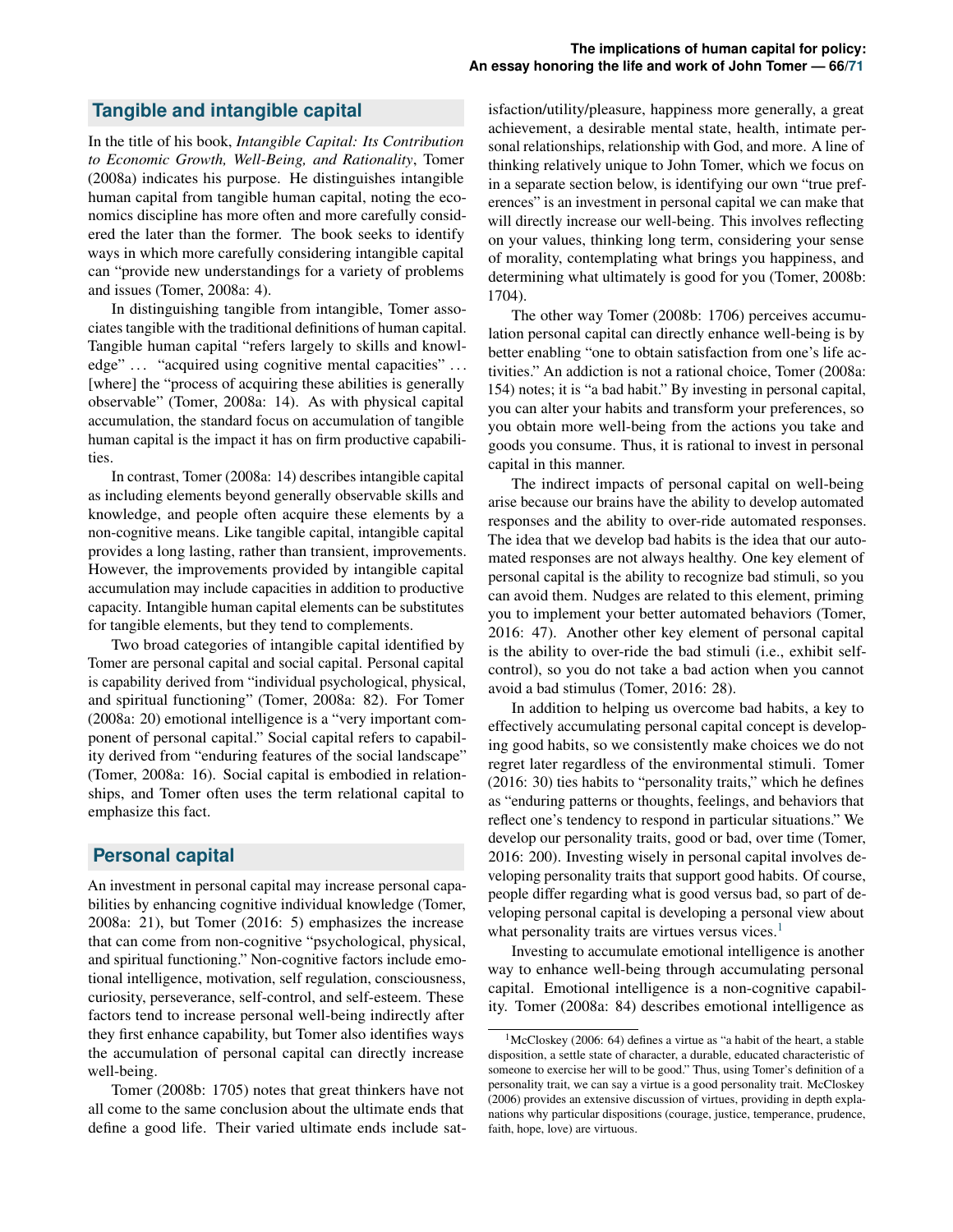## **Tangible and intangible capital**

In the title of his book, *Intangible Capital: Its Contribution to Economic Growth, Well-Being, and Rationality*, Tomer (2008a) indicates his purpose. He distinguishes intangible human capital from tangible human capital, noting the economics discipline has more often and more carefully considered the later than the former. The book seeks to identify ways in which more carefully considering intangible capital can "provide new understandings for a variety of problems and issues (Tomer, 2008a: 4).

In distinguishing tangible from intangible, Tomer associates tangible with the traditional definitions of human capital. Tangible human capital "refers largely to skills and knowledge" ... "acquired using cognitive mental capacities" ... [where] the "process of acquiring these abilities is generally observable" (Tomer, 2008a: 14). As with physical capital accumulation, the standard focus on accumulation of tangible human capital is the impact it has on firm productive capabilities.

In contrast, Tomer (2008a: 14) describes intangible capital as including elements beyond generally observable skills and knowledge, and people often acquire these elements by a non-cognitive means. Like tangible capital, intangible capital provides a long lasting, rather than transient, improvements. However, the improvements provided by intangible capital accumulation may include capacities in addition to productive capacity. Intangible human capital elements can be substitutes for tangible elements, but they tend to complements.

Two broad categories of intangible capital identified by Tomer are personal capital and social capital. Personal capital is capability derived from "individual psychological, physical, and spiritual functioning" (Tomer, 2008a: 82). For Tomer (2008a: 20) emotional intelligence is a "very important component of personal capital." Social capital refers to capability derived from "enduring features of the social landscape" (Tomer, 2008a: 16). Social capital is embodied in relationships, and Tomer often uses the term relational capital to emphasize this fact.

### **Personal capital**

An investment in personal capital may increase personal capabilities by enhancing cognitive individual knowledge (Tomer, 2008a: 21), but Tomer (2016: 5) emphasizes the increase that can come from non-cognitive "psychological, physical, and spiritual functioning." Non-cognitive factors include emotional intelligence, motivation, self regulation, consciousness, curiosity, perseverance, self-control, and self-esteem. These factors tend to increase personal well-being indirectly after they first enhance capability, but Tomer also identifies ways the accumulation of personal capital can directly increase well-being.

Tomer (2008b: 1705) notes that great thinkers have not all come to the same conclusion about the ultimate ends that define a good life. Their varied ultimate ends include sat-

isfaction/utility/pleasure, happiness more generally, a great achievement, a desirable mental state, health, intimate personal relationships, relationship with God, and more. A line of thinking relatively unique to John Tomer, which we focus on in a separate section below, is identifying our own "true preferences" is an investment in personal capital we can make that will directly increase our well-being. This involves reflecting on your values, thinking long term, considering your sense of morality, contemplating what brings you happiness, and determining what ultimately is good for you (Tomer, 2008b: 1704).

The other way Tomer (2008b: 1706) perceives accumulation personal capital can directly enhance well-being is by better enabling "one to obtain satisfaction from one's life activities." An addiction is not a rational choice, Tomer (2008a: 154) notes; it is "a bad habit." By investing in personal capital, you can alter your habits and transform your preferences, so you obtain more well-being from the actions you take and goods you consume. Thus, it is rational to invest in personal capital in this manner.

The indirect impacts of personal capital on well-being arise because our brains have the ability to develop automated responses and the ability to over-ride automated responses. The idea that we develop bad habits is the idea that our automated responses are not always healthy. One key element of personal capital is the ability to recognize bad stimuli, so you can avoid them. Nudges are related to this element, priming you to implement your better automated behaviors (Tomer, 2016: 47). Another other key element of personal capital is the ability to over-ride the bad stimuli (i.e., exhibit selfcontrol), so you do not take a bad action when you cannot avoid a bad stimulus (Tomer, 2016: 28).

In addition to helping us overcome bad habits, a key to effectively accumulating personal capital concept is developing good habits, so we consistently make choices we do not regret later regardless of the environmental stimuli. Tomer (2016: 30) ties habits to "personality traits," which he defines as "enduring patterns or thoughts, feelings, and behaviors that reflect one's tendency to respond in particular situations." We develop our personality traits, good or bad, over time (Tomer, 2016: 200). Investing wisely in personal capital involves developing personality traits that support good habits. Of course, people differ regarding what is good versus bad, so part of developing personal capital is developing a personal view about what personality traits are virtues versus vices.<sup>[1](#page-1-0)</sup>

Investing to accumulate emotional intelligence is another way to enhance well-being through accumulating personal capital. Emotional intelligence is a non-cognitive capability. Tomer (2008a: 84) describes emotional intelligence as

<span id="page-1-0"></span> $1$ McCloskey (2006: 64) defines a virtue as "a habit of the heart, a stable disposition, a settle state of character, a durable, educated characteristic of someone to exercise her will to be good." Thus, using Tomer's definition of a personality trait, we can say a virtue is a good personality trait. McCloskey (2006) provides an extensive discussion of virtues, providing in depth explanations why particular dispositions (courage, justice, temperance, prudence, faith, hope, love) are virtuous.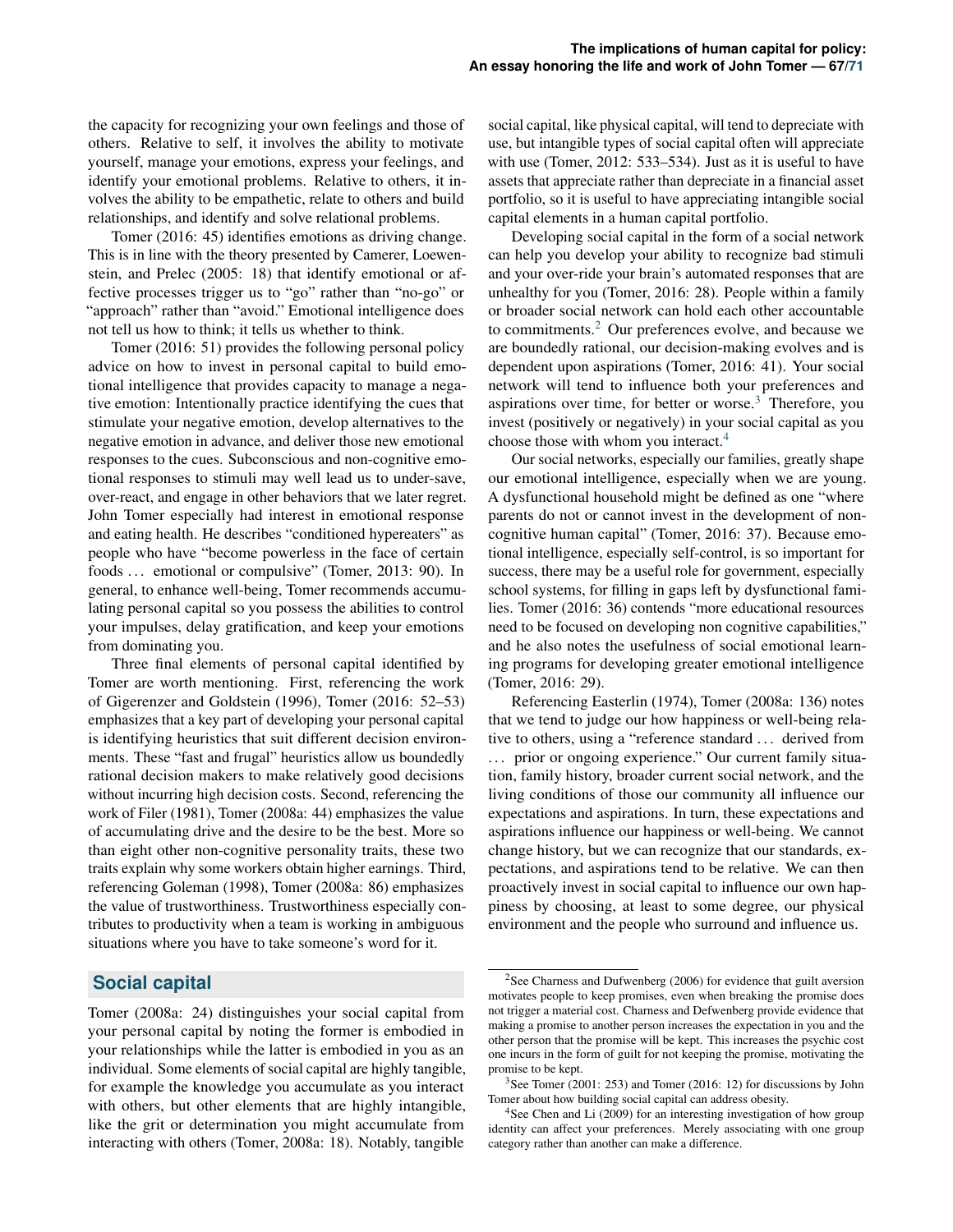the capacity for recognizing your own feelings and those of others. Relative to self, it involves the ability to motivate yourself, manage your emotions, express your feelings, and identify your emotional problems. Relative to others, it involves the ability to be empathetic, relate to others and build relationships, and identify and solve relational problems.

Tomer (2016: 45) identifies emotions as driving change. This is in line with the theory presented by Camerer, Loewenstein, and Prelec (2005: 18) that identify emotional or affective processes trigger us to "go" rather than "no-go" or "approach" rather than "avoid." Emotional intelligence does not tell us how to think; it tells us whether to think.

Tomer (2016: 51) provides the following personal policy advice on how to invest in personal capital to build emotional intelligence that provides capacity to manage a negative emotion: Intentionally practice identifying the cues that stimulate your negative emotion, develop alternatives to the negative emotion in advance, and deliver those new emotional responses to the cues. Subconscious and non-cognitive emotional responses to stimuli may well lead us to under-save, over-react, and engage in other behaviors that we later regret. John Tomer especially had interest in emotional response and eating health. He describes "conditioned hypereaters" as people who have "become powerless in the face of certain foods ... emotional or compulsive" (Tomer, 2013: 90). In general, to enhance well-being, Tomer recommends accumulating personal capital so you possess the abilities to control your impulses, delay gratification, and keep your emotions from dominating you.

Three final elements of personal capital identified by Tomer are worth mentioning. First, referencing the work of Gigerenzer and Goldstein (1996), Tomer (2016: 52–53) emphasizes that a key part of developing your personal capital is identifying heuristics that suit different decision environments. These "fast and frugal" heuristics allow us boundedly rational decision makers to make relatively good decisions without incurring high decision costs. Second, referencing the work of Filer (1981), Tomer (2008a: 44) emphasizes the value of accumulating drive and the desire to be the best. More so than eight other non-cognitive personality traits, these two traits explain why some workers obtain higher earnings. Third, referencing Goleman (1998), Tomer (2008a: 86) emphasizes the value of trustworthiness. Trustworthiness especially contributes to productivity when a team is working in ambiguous situations where you have to take someone's word for it.

# **Social capital**

Tomer (2008a: 24) distinguishes your social capital from your personal capital by noting the former is embodied in your relationships while the latter is embodied in you as an individual. Some elements of social capital are highly tangible, for example the knowledge you accumulate as you interact with others, but other elements that are highly intangible, like the grit or determination you might accumulate from interacting with others (Tomer, 2008a: 18). Notably, tangible

social capital, like physical capital, will tend to depreciate with use, but intangible types of social capital often will appreciate with use (Tomer, 2012: 533–534). Just as it is useful to have assets that appreciate rather than depreciate in a financial asset portfolio, so it is useful to have appreciating intangible social capital elements in a human capital portfolio.

Developing social capital in the form of a social network can help you develop your ability to recognize bad stimuli and your over-ride your brain's automated responses that are unhealthy for you (Tomer, 2016: 28). People within a family or broader social network can hold each other accountable to commitments. $2$  Our preferences evolve, and because we are boundedly rational, our decision-making evolves and is dependent upon aspirations (Tomer, 2016: 41). Your social network will tend to influence both your preferences and aspirations over time, for better or worse.<sup>[3](#page-2-1)</sup> Therefore, you invest (positively or negatively) in your social capital as you choose those with whom you interact.<sup>[4](#page-2-2)</sup>

Our social networks, especially our families, greatly shape our emotional intelligence, especially when we are young. A dysfunctional household might be defined as one "where parents do not or cannot invest in the development of noncognitive human capital" (Tomer, 2016: 37). Because emotional intelligence, especially self-control, is so important for success, there may be a useful role for government, especially school systems, for filling in gaps left by dysfunctional families. Tomer (2016: 36) contends "more educational resources need to be focused on developing non cognitive capabilities," and he also notes the usefulness of social emotional learning programs for developing greater emotional intelligence (Tomer, 2016: 29).

Referencing Easterlin (1974), Tomer (2008a: 136) notes that we tend to judge our how happiness or well-being relative to others, using a "reference standard . . . derived from ... prior or ongoing experience." Our current family situation, family history, broader current social network, and the living conditions of those our community all influence our expectations and aspirations. In turn, these expectations and aspirations influence our happiness or well-being. We cannot change history, but we can recognize that our standards, expectations, and aspirations tend to be relative. We can then proactively invest in social capital to influence our own happiness by choosing, at least to some degree, our physical environment and the people who surround and influence us.

<span id="page-2-0"></span><sup>&</sup>lt;sup>2</sup>See Charness and Dufwenberg (2006) for evidence that guilt aversion motivates people to keep promises, even when breaking the promise does not trigger a material cost. Charness and Defwenberg provide evidence that making a promise to another person increases the expectation in you and the other person that the promise will be kept. This increases the psychic cost one incurs in the form of guilt for not keeping the promise, motivating the promise to be kept.

<span id="page-2-1"></span><sup>3</sup>See Tomer (2001: 253) and Tomer (2016: 12) for discussions by John Tomer about how building social capital can address obesity.

<span id="page-2-2"></span><sup>&</sup>lt;sup>4</sup>See Chen and Li (2009) for an interesting investigation of how group identity can affect your preferences. Merely associating with one group category rather than another can make a difference.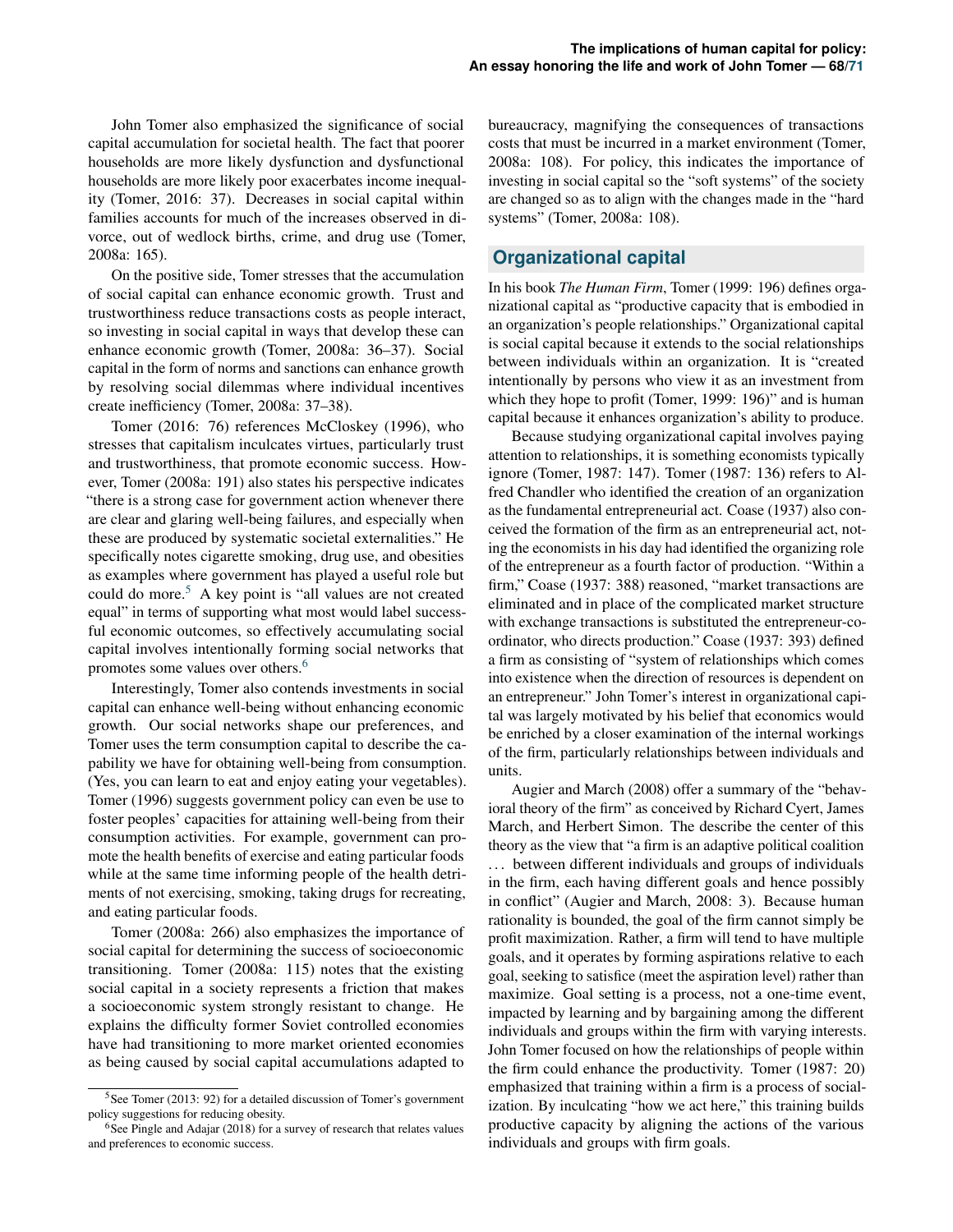John Tomer also emphasized the significance of social capital accumulation for societal health. The fact that poorer households are more likely dysfunction and dysfunctional households are more likely poor exacerbates income inequality (Tomer, 2016: 37). Decreases in social capital within families accounts for much of the increases observed in divorce, out of wedlock births, crime, and drug use (Tomer, 2008a: 165).

On the positive side, Tomer stresses that the accumulation of social capital can enhance economic growth. Trust and trustworthiness reduce transactions costs as people interact, so investing in social capital in ways that develop these can enhance economic growth (Tomer, 2008a: 36–37). Social capital in the form of norms and sanctions can enhance growth by resolving social dilemmas where individual incentives create inefficiency (Tomer, 2008a: 37–38).

Tomer (2016: 76) references McCloskey (1996), who stresses that capitalism inculcates virtues, particularly trust and trustworthiness, that promote economic success. However, Tomer (2008a: 191) also states his perspective indicates "there is a strong case for government action whenever there are clear and glaring well-being failures, and especially when these are produced by systematic societal externalities." He specifically notes cigarette smoking, drug use, and obesities as examples where government has played a useful role but could do more.<sup>[5](#page-3-0)</sup> A key point is "all values are not created equal" in terms of supporting what most would label successful economic outcomes, so effectively accumulating social capital involves intentionally forming social networks that promotes some values over others.<sup>[6](#page-3-1)</sup>

Interestingly, Tomer also contends investments in social capital can enhance well-being without enhancing economic growth. Our social networks shape our preferences, and Tomer uses the term consumption capital to describe the capability we have for obtaining well-being from consumption. (Yes, you can learn to eat and enjoy eating your vegetables). Tomer (1996) suggests government policy can even be use to foster peoples' capacities for attaining well-being from their consumption activities. For example, government can promote the health benefits of exercise and eating particular foods while at the same time informing people of the health detriments of not exercising, smoking, taking drugs for recreating, and eating particular foods.

Tomer (2008a: 266) also emphasizes the importance of social capital for determining the success of socioeconomic transitioning. Tomer (2008a: 115) notes that the existing social capital in a society represents a friction that makes a socioeconomic system strongly resistant to change. He explains the difficulty former Soviet controlled economies have had transitioning to more market oriented economies as being caused by social capital accumulations adapted to

bureaucracy, magnifying the consequences of transactions costs that must be incurred in a market environment (Tomer, 2008a: 108). For policy, this indicates the importance of investing in social capital so the "soft systems" of the society are changed so as to align with the changes made in the "hard systems" (Tomer, 2008a: 108).

# **Organizational capital**

In his book *The Human Firm*, Tomer (1999: 196) defines organizational capital as "productive capacity that is embodied in an organization's people relationships." Organizational capital is social capital because it extends to the social relationships between individuals within an organization. It is "created intentionally by persons who view it as an investment from which they hope to profit (Tomer, 1999: 196)" and is human capital because it enhances organization's ability to produce.

Because studying organizational capital involves paying attention to relationships, it is something economists typically ignore (Tomer, 1987: 147). Tomer (1987: 136) refers to Alfred Chandler who identified the creation of an organization as the fundamental entrepreneurial act. Coase (1937) also conceived the formation of the firm as an entrepreneurial act, noting the economists in his day had identified the organizing role of the entrepreneur as a fourth factor of production. "Within a firm," Coase (1937: 388) reasoned, "market transactions are eliminated and in place of the complicated market structure with exchange transactions is substituted the entrepreneur-coordinator, who directs production." Coase (1937: 393) defined a firm as consisting of "system of relationships which comes into existence when the direction of resources is dependent on an entrepreneur." John Tomer's interest in organizational capital was largely motivated by his belief that economics would be enriched by a closer examination of the internal workings of the firm, particularly relationships between individuals and units.

Augier and March (2008) offer a summary of the "behavioral theory of the firm" as conceived by Richard Cyert, James March, and Herbert Simon. The describe the center of this theory as the view that "a firm is an adaptive political coalition ... between different individuals and groups of individuals in the firm, each having different goals and hence possibly in conflict" (Augier and March, 2008: 3). Because human rationality is bounded, the goal of the firm cannot simply be profit maximization. Rather, a firm will tend to have multiple goals, and it operates by forming aspirations relative to each goal, seeking to satisfice (meet the aspiration level) rather than maximize. Goal setting is a process, not a one-time event, impacted by learning and by bargaining among the different individuals and groups within the firm with varying interests. John Tomer focused on how the relationships of people within the firm could enhance the productivity. Tomer (1987: 20) emphasized that training within a firm is a process of socialization. By inculcating "how we act here," this training builds productive capacity by aligning the actions of the various individuals and groups with firm goals.

<span id="page-3-0"></span><sup>&</sup>lt;sup>5</sup>See Tomer (2013: 92) for a detailed discussion of Tomer's government policy suggestions for reducing obesity.

<span id="page-3-1"></span> $6$ See Pingle and Adajar (2018) for a survey of research that relates values and preferences to economic success.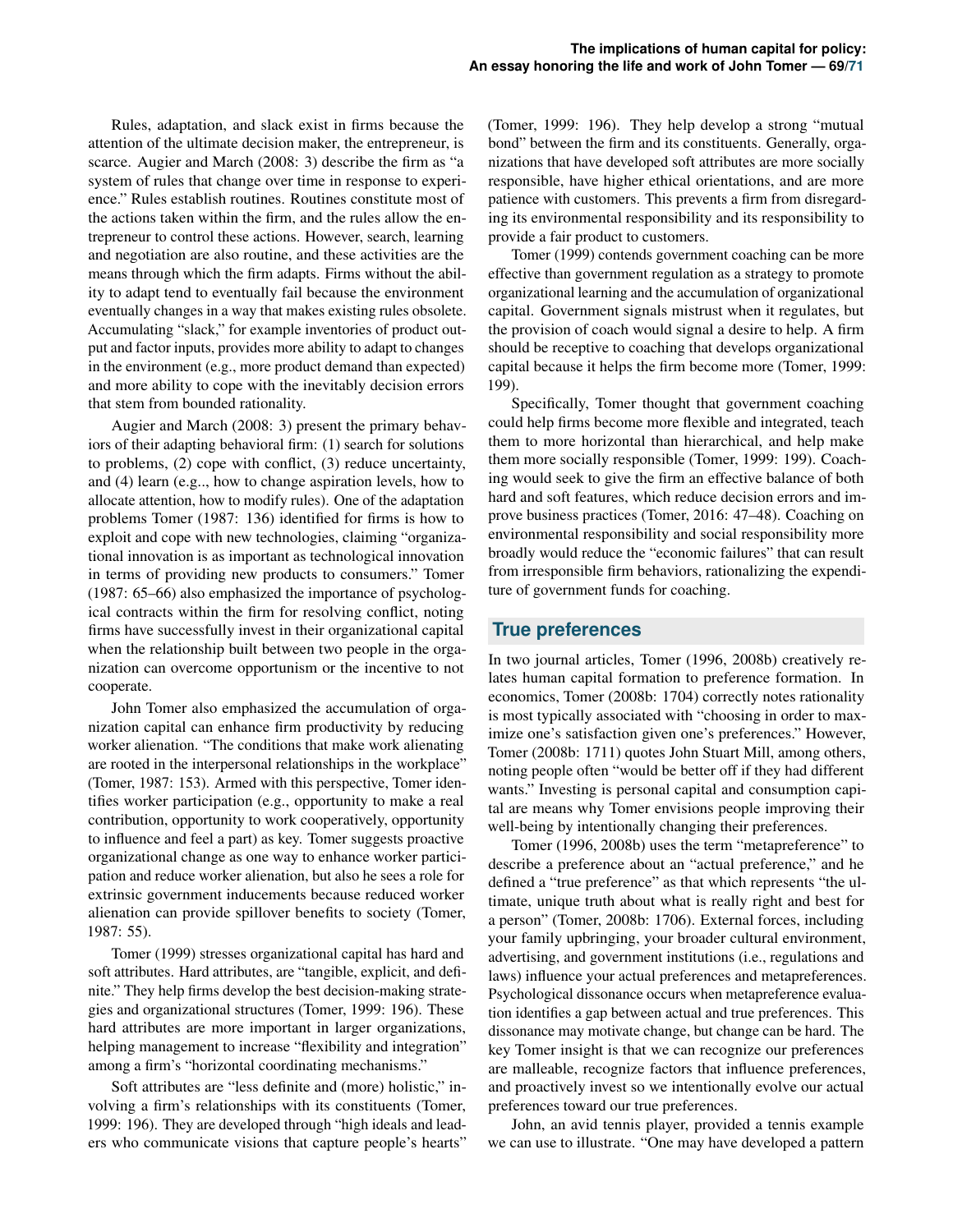Rules, adaptation, and slack exist in firms because the attention of the ultimate decision maker, the entrepreneur, is scarce. Augier and March (2008: 3) describe the firm as "a system of rules that change over time in response to experience." Rules establish routines. Routines constitute most of the actions taken within the firm, and the rules allow the entrepreneur to control these actions. However, search, learning and negotiation are also routine, and these activities are the means through which the firm adapts. Firms without the ability to adapt tend to eventually fail because the environment eventually changes in a way that makes existing rules obsolete. Accumulating "slack," for example inventories of product output and factor inputs, provides more ability to adapt to changes in the environment (e.g., more product demand than expected) and more ability to cope with the inevitably decision errors that stem from bounded rationality.

Augier and March (2008: 3) present the primary behaviors of their adapting behavioral firm: (1) search for solutions to problems, (2) cope with conflict, (3) reduce uncertainty, and (4) learn (e.g.., how to change aspiration levels, how to allocate attention, how to modify rules). One of the adaptation problems Tomer (1987: 136) identified for firms is how to exploit and cope with new technologies, claiming "organizational innovation is as important as technological innovation in terms of providing new products to consumers." Tomer (1987: 65–66) also emphasized the importance of psychological contracts within the firm for resolving conflict, noting firms have successfully invest in their organizational capital when the relationship built between two people in the organization can overcome opportunism or the incentive to not cooperate.

John Tomer also emphasized the accumulation of organization capital can enhance firm productivity by reducing worker alienation. "The conditions that make work alienating are rooted in the interpersonal relationships in the workplace" (Tomer, 1987: 153). Armed with this perspective, Tomer identifies worker participation (e.g., opportunity to make a real contribution, opportunity to work cooperatively, opportunity to influence and feel a part) as key. Tomer suggests proactive organizational change as one way to enhance worker participation and reduce worker alienation, but also he sees a role for extrinsic government inducements because reduced worker alienation can provide spillover benefits to society (Tomer, 1987: 55).

Tomer (1999) stresses organizational capital has hard and soft attributes. Hard attributes, are "tangible, explicit, and definite." They help firms develop the best decision-making strategies and organizational structures (Tomer, 1999: 196). These hard attributes are more important in larger organizations, helping management to increase "flexibility and integration" among a firm's "horizontal coordinating mechanisms."

Soft attributes are "less definite and (more) holistic," involving a firm's relationships with its constituents (Tomer, 1999: 196). They are developed through "high ideals and leaders who communicate visions that capture people's hearts"

(Tomer, 1999: 196). They help develop a strong "mutual bond" between the firm and its constituents. Generally, organizations that have developed soft attributes are more socially responsible, have higher ethical orientations, and are more patience with customers. This prevents a firm from disregarding its environmental responsibility and its responsibility to provide a fair product to customers.

Tomer (1999) contends government coaching can be more effective than government regulation as a strategy to promote organizational learning and the accumulation of organizational capital. Government signals mistrust when it regulates, but the provision of coach would signal a desire to help. A firm should be receptive to coaching that develops organizational capital because it helps the firm become more (Tomer, 1999: 199).

Specifically, Tomer thought that government coaching could help firms become more flexible and integrated, teach them to more horizontal than hierarchical, and help make them more socially responsible (Tomer, 1999: 199). Coaching would seek to give the firm an effective balance of both hard and soft features, which reduce decision errors and improve business practices (Tomer, 2016: 47–48). Coaching on environmental responsibility and social responsibility more broadly would reduce the "economic failures" that can result from irresponsible firm behaviors, rationalizing the expenditure of government funds for coaching.

## **True preferences**

In two journal articles, Tomer (1996, 2008b) creatively relates human capital formation to preference formation. In economics, Tomer (2008b: 1704) correctly notes rationality is most typically associated with "choosing in order to maximize one's satisfaction given one's preferences." However, Tomer (2008b: 1711) quotes John Stuart Mill, among others, noting people often "would be better off if they had different wants." Investing is personal capital and consumption capital are means why Tomer envisions people improving their well-being by intentionally changing their preferences.

Tomer (1996, 2008b) uses the term "metapreference" to describe a preference about an "actual preference," and he defined a "true preference" as that which represents "the ultimate, unique truth about what is really right and best for a person" (Tomer, 2008b: 1706). External forces, including your family upbringing, your broader cultural environment, advertising, and government institutions (i.e., regulations and laws) influence your actual preferences and metapreferences. Psychological dissonance occurs when metapreference evaluation identifies a gap between actual and true preferences. This dissonance may motivate change, but change can be hard. The key Tomer insight is that we can recognize our preferences are malleable, recognize factors that influence preferences, and proactively invest so we intentionally evolve our actual preferences toward our true preferences.

John, an avid tennis player, provided a tennis example we can use to illustrate. "One may have developed a pattern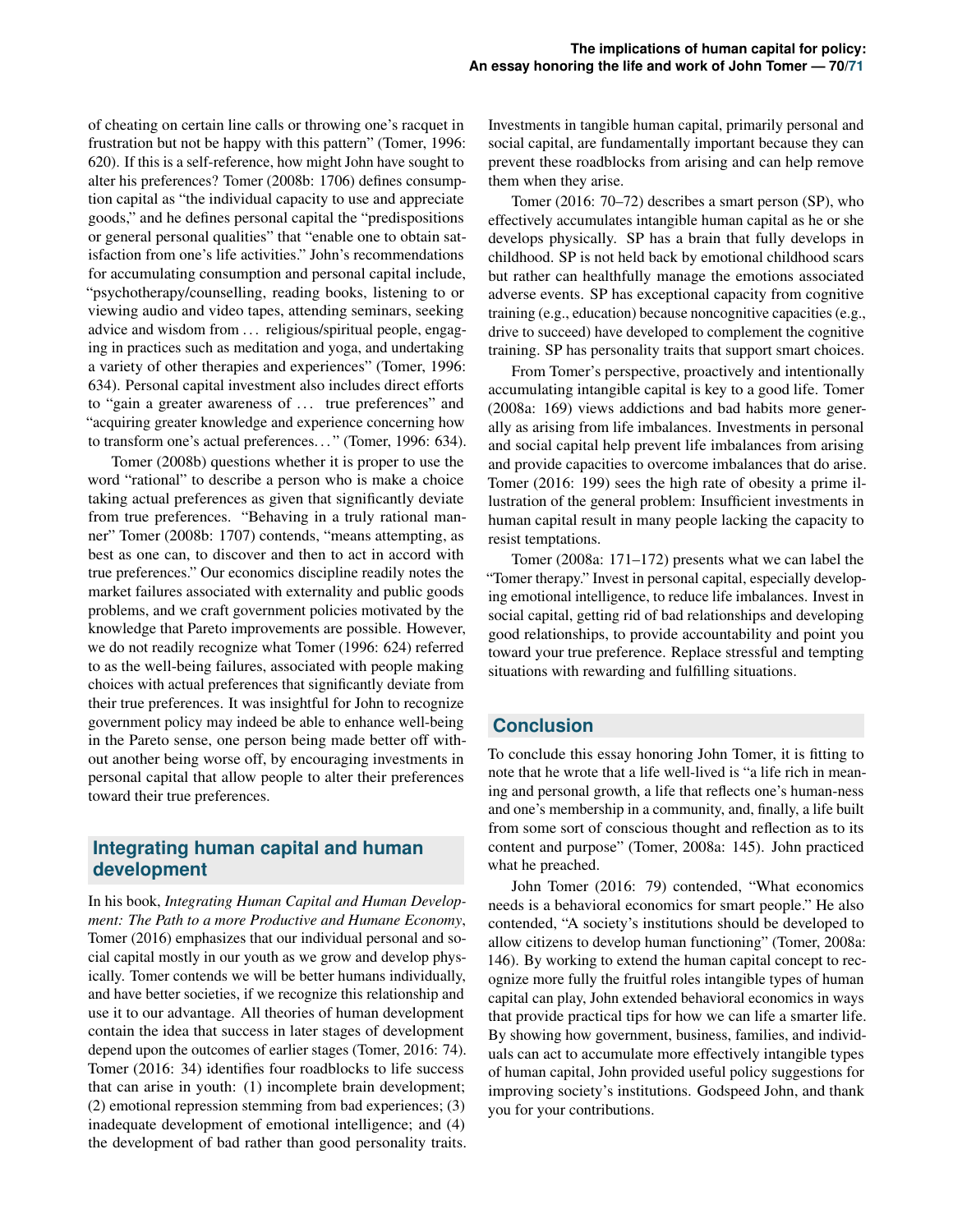of cheating on certain line calls or throwing one's racquet in frustration but not be happy with this pattern" (Tomer, 1996: 620). If this is a self-reference, how might John have sought to alter his preferences? Tomer (2008b: 1706) defines consumption capital as "the individual capacity to use and appreciate goods," and he defines personal capital the "predispositions or general personal qualities" that "enable one to obtain satisfaction from one's life activities." John's recommendations for accumulating consumption and personal capital include, "psychotherapy/counselling, reading books, listening to or viewing audio and video tapes, attending seminars, seeking advice and wisdom from ... religious/spiritual people, engaging in practices such as meditation and yoga, and undertaking a variety of other therapies and experiences" (Tomer, 1996: 634). Personal capital investment also includes direct efforts to "gain a greater awareness of ... true preferences" and "acquiring greater knowledge and experience concerning how to transform one's actual preferences. . . " (Tomer, 1996: 634).

Tomer (2008b) questions whether it is proper to use the word "rational" to describe a person who is make a choice taking actual preferences as given that significantly deviate from true preferences. "Behaving in a truly rational manner" Tomer (2008b: 1707) contends, "means attempting, as best as one can, to discover and then to act in accord with true preferences." Our economics discipline readily notes the market failures associated with externality and public goods problems, and we craft government policies motivated by the knowledge that Pareto improvements are possible. However, we do not readily recognize what Tomer (1996: 624) referred to as the well-being failures, associated with people making choices with actual preferences that significantly deviate from their true preferences. It was insightful for John to recognize government policy may indeed be able to enhance well-being in the Pareto sense, one person being made better off without another being worse off, by encouraging investments in personal capital that allow people to alter their preferences toward their true preferences.

# **Integrating human capital and human development**

In his book, *Integrating Human Capital and Human Development: The Path to a more Productive and Humane Economy*, Tomer (2016) emphasizes that our individual personal and social capital mostly in our youth as we grow and develop physically. Tomer contends we will be better humans individually, and have better societies, if we recognize this relationship and use it to our advantage. All theories of human development contain the idea that success in later stages of development depend upon the outcomes of earlier stages (Tomer, 2016: 74). Tomer (2016: 34) identifies four roadblocks to life success that can arise in youth: (1) incomplete brain development; (2) emotional repression stemming from bad experiences; (3) inadequate development of emotional intelligence; and (4) the development of bad rather than good personality traits. Investments in tangible human capital, primarily personal and social capital, are fundamentally important because they can prevent these roadblocks from arising and can help remove them when they arise.

Tomer (2016: 70–72) describes a smart person (SP), who effectively accumulates intangible human capital as he or she develops physically. SP has a brain that fully develops in childhood. SP is not held back by emotional childhood scars but rather can healthfully manage the emotions associated adverse events. SP has exceptional capacity from cognitive training (e.g., education) because noncognitive capacities (e.g., drive to succeed) have developed to complement the cognitive training. SP has personality traits that support smart choices.

From Tomer's perspective, proactively and intentionally accumulating intangible capital is key to a good life. Tomer (2008a: 169) views addictions and bad habits more generally as arising from life imbalances. Investments in personal and social capital help prevent life imbalances from arising and provide capacities to overcome imbalances that do arise. Tomer (2016: 199) sees the high rate of obesity a prime illustration of the general problem: Insufficient investments in human capital result in many people lacking the capacity to resist temptations.

Tomer (2008a: 171–172) presents what we can label the "Tomer therapy." Invest in personal capital, especially developing emotional intelligence, to reduce life imbalances. Invest in social capital, getting rid of bad relationships and developing good relationships, to provide accountability and point you toward your true preference. Replace stressful and tempting situations with rewarding and fulfilling situations.

# **Conclusion**

To conclude this essay honoring John Tomer, it is fitting to note that he wrote that a life well-lived is "a life rich in meaning and personal growth, a life that reflects one's human-ness and one's membership in a community, and, finally, a life built from some sort of conscious thought and reflection as to its content and purpose" (Tomer, 2008a: 145). John practiced what he preached.

John Tomer (2016: 79) contended, "What economics needs is a behavioral economics for smart people." He also contended, "A society's institutions should be developed to allow citizens to develop human functioning" (Tomer, 2008a: 146). By working to extend the human capital concept to recognize more fully the fruitful roles intangible types of human capital can play, John extended behavioral economics in ways that provide practical tips for how we can life a smarter life. By showing how government, business, families, and individuals can act to accumulate more effectively intangible types of human capital, John provided useful policy suggestions for improving society's institutions. Godspeed John, and thank you for your contributions.